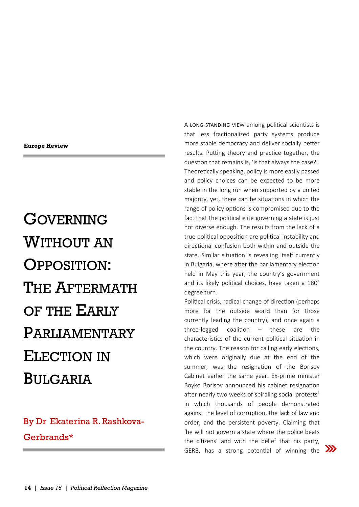## **Europe Review**

GOVERNING WITHOUT AN OPPOSITION: THE AFTERMATH OF THE EARLY PARLIAMENTARY ELECTION IN BULGARIA

## By Dr Ekaterina R. Rashkova-Gerbrands\*

A long-standing view among political scientists is that less fractionalized party systems produce more stable democracy and deliver socially better results. Putting theory and practice together, the question that remains is, 'is that always the case?'. Theoretically speaking, policy is more easily passed and policy choices can be expected to be more stable in the long run when supported by a united majority, yet, there can be situations in which the range of policy options is compromised due to the fact that the political elite governing a state is just not diverse enough. The results from the lack of a true political opposition are political instability and directional confusion both within and outside the state. Similar situation is revealing itself currently in Bulgaria, where after the parliamentary election held in May this year, the country's government and its likely political choices, have taken a 180° degree turn.

Political crisis, radical change of direction (perhaps more for the outside world than for those currently leading the country), and once again a three-legged coalition – these are the characteristics of the current political situation in the country. The reason for calling early elections, which were originally due at the end of the summer, was the resignation of the Borisov Cabinet earlier the same year. Ex-prime minister Boyko Borisov announced his cabinet resignation after nearly two weeks of spiraling social protests<sup>1</sup> in which thousands of people demonstrated against the level of corruption, the lack of law and order, and the persistent poverty. Claiming that 'he will not govern a state where the police beats the citizens' and with the belief that his party, GERB, has a strong potential of winning the  $\sum$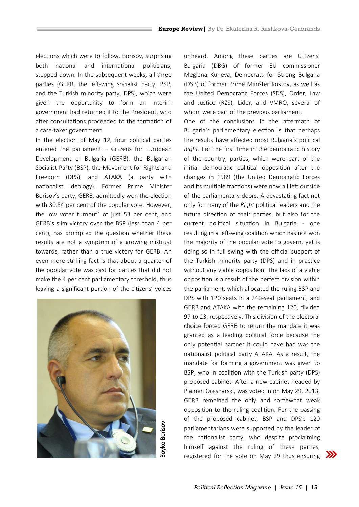elections which were to follow, Borisov, surprising both national and international politicians, stepped down. In the subsequent weeks, all three parties (GERB, the left-wing socialist party, BSP, and the Turkish minority party, DPS), which were given the opportunity to form an interim government had returned it to the President, who after consultations proceeded to the formation of a care-taker government.

In the election of May 12, four political parties entered the parliament – Citizens for European Development of Bulgaria (GERB), the Bulgarian Socialist Party (BSP), the Movement for Rights and Freedom (DPS), and ATAKA (a party with nationalist ideology). Former Prime Minister Borisov's party, GERB, admittedly won the election with 30.54 per cent of the popular vote. However, the low voter turnout<sup>2</sup> of just 53 per cent, and GERB's slim victory over the BSP (less than 4 per cent), has prompted the question whether these results are not a symptom of a growing mistrust towards, rather than a true victory for GERB. An even more striking fact is that about a quarter of the popular vote was cast for parties that did not make the 4 per cent parliamentary threshold, thus leaving a significant portion of the citizens' voices



unheard. Among these parties are Citizens' Bulgaria (DBG) of former EU commissioner Meglena Kuneva, Democrats for Strong Bulgaria (DSB) of former Prime Minister Kostov, as well as the United Democratic Forces (SDS), Order, Law and Justice (RZS), Lider, and VMRO, several of whom were part of the previous parliament.

One of the conclusions in the aftermath of Bulgaria's parliamentary election is that perhaps the results have affected most Bulgaria's political *Right*. For the first time in the democratic history of the country, parties, which were part of the initial democratic political opposition after the changes in 1989 (the United Democratic Forces and its multiple fractions) were now all left outside of the parliamentary doors. A devastating fact not only for many of the *Right* political leaders and the future direction of their parties, but also for the current political situation in Bulgaria - one resulting in a left-wing coalition which has not won the majority of the popular vote to govern, yet is doing so in full swing with the official support of the Turkish minority party (DPS) and in practice without any viable opposition. The lack of a viable opposition is a result of the perfect division within the parliament, which allocated the ruling BSP and DPS with 120 seats in a 240-seat parliament, and GERB and ATAKA with the remaining 120, divided 97 to 23, respectively. This division of the electoral choice forced GERB to return the mandate it was granted as a leading political force because the only potential partner it could have had was the nationalist political party ATAKA. As a result, the mandate for forming a government was given to BSP, who in coalition with the Turkish party (DPS) proposed cabinet. After a new cabinet headed by Plamen Oresharski, was voted in on May 29, 2013, GERB remained the only and somewhat weak opposition to the ruling coalition. For the passing of the proposed cabinet, BSP and DPS's 120 parliamentarians were supported by the leader of the nationalist party, who despite proclaiming himself against the ruling of these parties, registered for the vote on May 29 thus ensuring  $\sum$